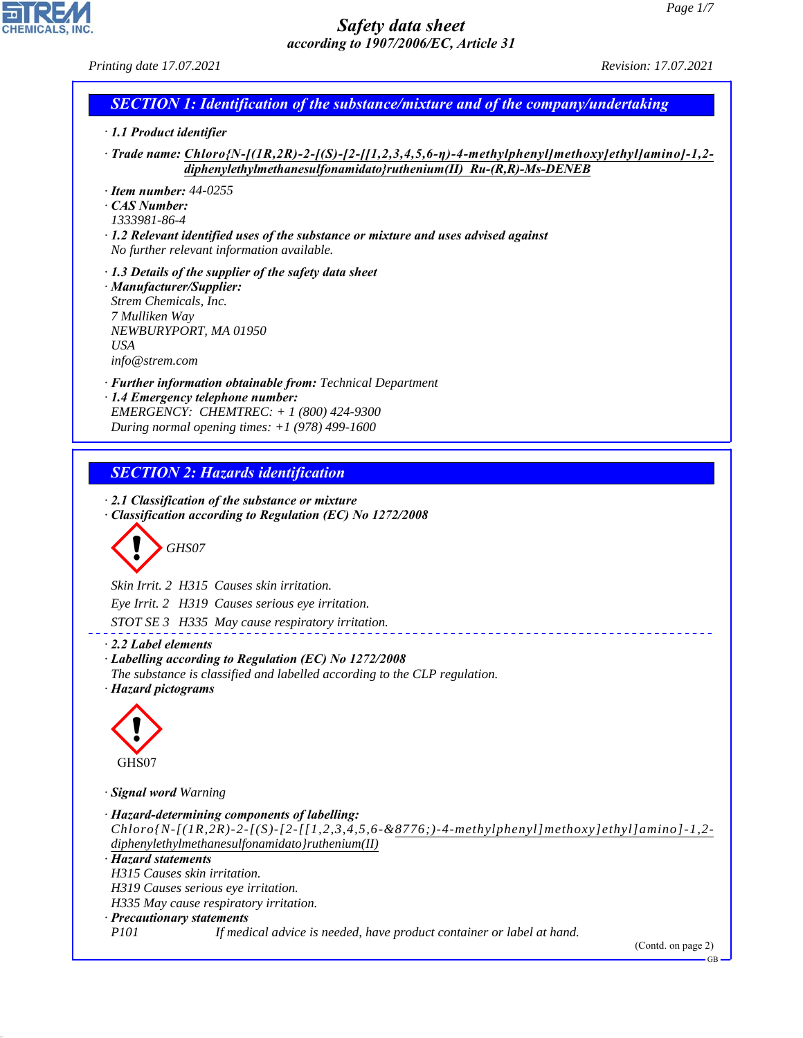

CHEMICALS, INC.

44.1.1

| Printing date 17.07.2021                                                                                                                                                                                                                                     |  |
|--------------------------------------------------------------------------------------------------------------------------------------------------------------------------------------------------------------------------------------------------------------|--|
| <b>SECTION 1: Identification of the substance/mixture and of the company/undertaking</b>                                                                                                                                                                     |  |
| · 1.1 Product identifier                                                                                                                                                                                                                                     |  |
| $\cdot$ Trade name: Chloro{N-[(1R,2R)-2-[(S)-[2-[[1,2,3,4,5,6-η)-4-methylphenyl]methoxy]ethyl]amino]-1,2-<br>$dipheny let hyl method has all fonamidato} runl (II) Ru-(R,R)-Ms-DENEB$                                                                        |  |
| $\cdot$ Item number: 44-0255                                                                                                                                                                                                                                 |  |
| ⋅ CAS Number:<br>1333981-86-4                                                                                                                                                                                                                                |  |
| $\cdot$ 1.2 Relevant identified uses of the substance or mixture and uses advised against                                                                                                                                                                    |  |
| No further relevant information available.                                                                                                                                                                                                                   |  |
| $\cdot$ 1.3 Details of the supplier of the safety data sheet                                                                                                                                                                                                 |  |
| · Manufacturer/Supplier:<br>Strem Chemicals, Inc.                                                                                                                                                                                                            |  |
| 7 Mulliken Way                                                                                                                                                                                                                                               |  |
| NEWBURYPORT, MA 01950<br><b>USA</b>                                                                                                                                                                                                                          |  |
| info@strem.com                                                                                                                                                                                                                                               |  |
| · Further information obtainable from: Technical Department                                                                                                                                                                                                  |  |
| · 1.4 Emergency telephone number:<br>EMERGENCY: CHEMTREC: + 1 (800) 424-9300                                                                                                                                                                                 |  |
| During normal opening times: $+1$ (978) 499-1600                                                                                                                                                                                                             |  |
|                                                                                                                                                                                                                                                              |  |
| <b>SECTION 2: Hazards identification</b>                                                                                                                                                                                                                     |  |
| GHS07                                                                                                                                                                                                                                                        |  |
|                                                                                                                                                                                                                                                              |  |
| Skin Irrit. 2 H315 Causes skin irritation.                                                                                                                                                                                                                   |  |
| Eye Irrit. 2 H319 Causes serious eye irritation.                                                                                                                                                                                                             |  |
| STOT SE 3 H335 May cause respiratory irritation.                                                                                                                                                                                                             |  |
| The substance is classified and labelled according to the CLP regulation.                                                                                                                                                                                    |  |
|                                                                                                                                                                                                                                                              |  |
| GHS07                                                                                                                                                                                                                                                        |  |
|                                                                                                                                                                                                                                                              |  |
| $Chloro{N-I(1R,2R)-2-I(S)-[2-I[1,2,3,4,5,6-&8776;)-4-methylphenyl/methoxy]ethylJaminol-1,2-$<br>diphenylethylmethanesulfonamidato}ruthenium(II)                                                                                                              |  |
|                                                                                                                                                                                                                                                              |  |
| H315 Causes skin irritation.<br>H319 Causes serious eye irritation.                                                                                                                                                                                          |  |
| $\cdot$ 2.2 Label elements<br>· Labelling according to Regulation (EC) No 1272/2008<br>· Hazard pictograms<br>· <b>Signal word Warning</b><br>· Hazard-determining components of labelling:<br>· Hazard statements<br>H335 May cause respiratory irritation. |  |
| · Precautionary statements<br><i>P101</i><br>If medical advice is needed, have product container or label at hand.                                                                                                                                           |  |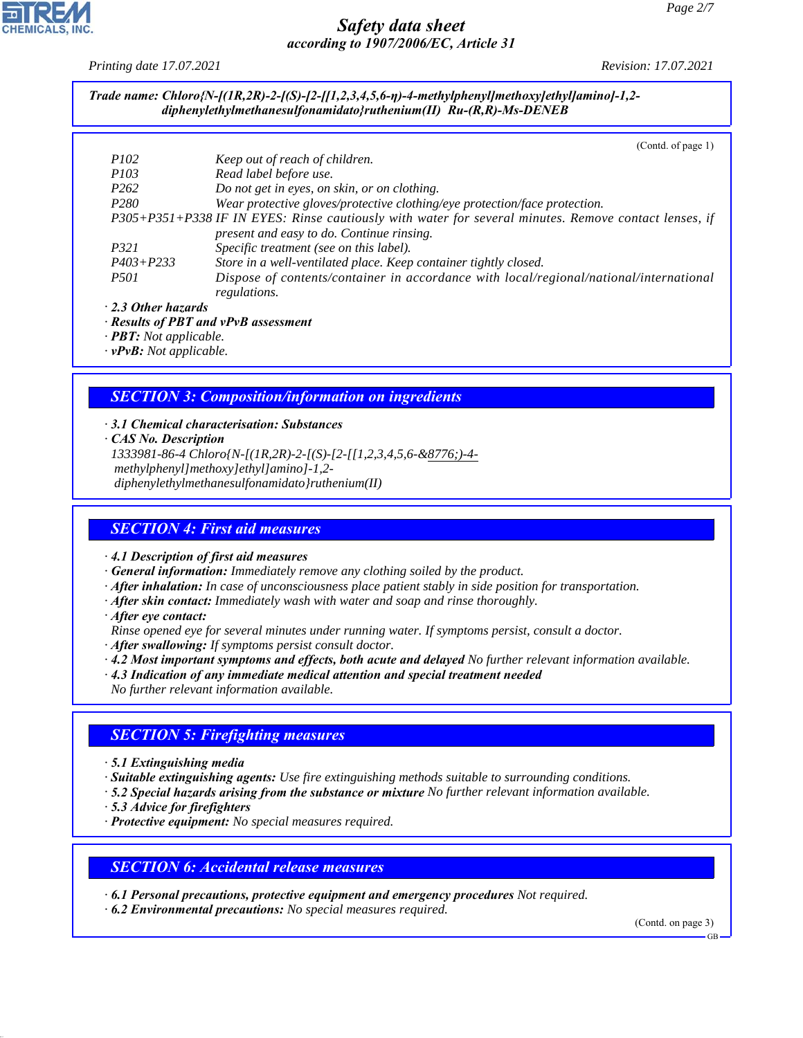*Printing date 17.07.2021 Revision: 17.07.2021*

#### *Trade name: Chloro{N-[(1R,2R)-2-[(S)-[2-[[1,2,3,4,5,6-η)-4-methylphenyl]methoxy]ethyl]amino]-1,2 diphenylethylmethanesulfonamidato}ruthenium(II) Ru-(R,R)-Ms-DENEB*

|                           | (Contd. of page 1)                                                                                    |
|---------------------------|-------------------------------------------------------------------------------------------------------|
| <i>P102</i>               | Keep out of reach of children.                                                                        |
| <i>P103</i>               | Read label before use.                                                                                |
| P <sub>262</sub>          | Do not get in eyes, on skin, or on clothing.                                                          |
| P <sub>280</sub>          | Wear protective gloves/protective clothing/eye protection/face protection.                            |
|                           | P305+P351+P338 IF IN EYES: Rinse cautiously with water for several minutes. Remove contact lenses, if |
|                           | present and easy to do. Continue rinsing.                                                             |
| P321                      | Specific treatment (see on this label).                                                               |
| $P403 + P233$             | Store in a well-ventilated place. Keep container tightly closed.                                      |
| <i>P501</i>               | Dispose of contents/container in accordance with local/regional/national/international                |
|                           | regulations.                                                                                          |
| $\cdot$ 2.3 Other hazards |                                                                                                       |
|                           |                                                                                                       |

- *· Results of PBT and vPvB assessment*
- *· PBT: Not applicable.*
- *· vPvB: Not applicable.*

## *SECTION 3: Composition/information on ingredients*

- *· 3.1 Chemical characterisation: Substances*
- *· CAS No. Description*
- *1333981-86-4 Chloro{N-[(1R,2R)-2-[(S)-[2-[[1,2,3,4,5,6-&8776;)-4 methylphenyl]methoxy]ethyl]amino]-1,2 diphenylethylmethanesulfonamidato}ruthenium(II)*

#### *SECTION 4: First aid measures*

- *· 4.1 Description of first aid measures*
- *· General information: Immediately remove any clothing soiled by the product.*
- *· After inhalation: In case of unconsciousness place patient stably in side position for transportation.*
- *· After skin contact: Immediately wash with water and soap and rinse thoroughly.*
- *· After eye contact:*

*Rinse opened eye for several minutes under running water. If symptoms persist, consult a doctor.*

- *· After swallowing: If symptoms persist consult doctor.*
- *· 4.2 Most important symptoms and effects, both acute and delayed No further relevant information available.*
- *· 4.3 Indication of any immediate medical attention and special treatment needed*
- *No further relevant information available.*

#### *SECTION 5: Firefighting measures*

- *· 5.1 Extinguishing media*
- *· Suitable extinguishing agents: Use fire extinguishing methods suitable to surrounding conditions.*
- *· 5.2 Special hazards arising from the substance or mixture No further relevant information available.*
- *· 5.3 Advice for firefighters*

44.1.1

*· Protective equipment: No special measures required.*

#### *SECTION 6: Accidental release measures*

*· 6.1 Personal precautions, protective equipment and emergency procedures Not required.*

*· 6.2 Environmental precautions: No special measures required.*

(Contd. on page 3)

GB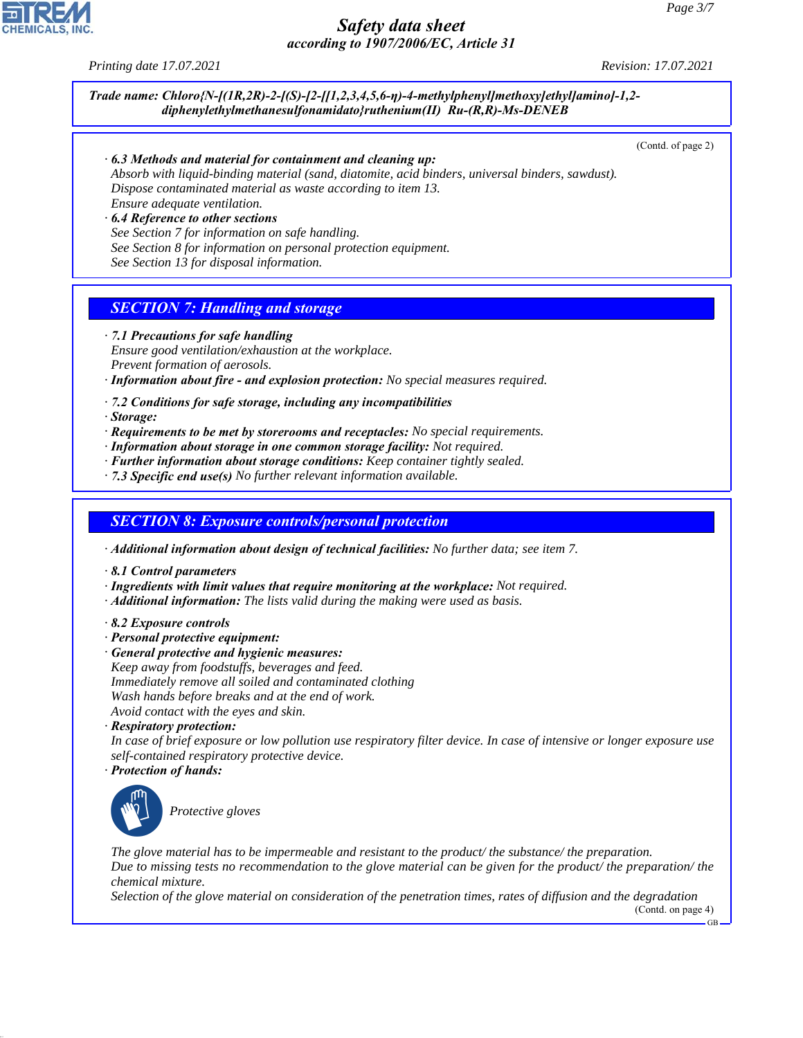*Printing date 17.07.2021 Revision: 17.07.2021*

*Trade name: Chloro{N-[(1R,2R)-2-[(S)-[2-[[1,2,3,4,5,6-η)-4-methylphenyl]methoxy]ethyl]amino]-1,2 diphenylethylmethanesulfonamidato}ruthenium(II) Ru-(R,R)-Ms-DENEB*

(Contd. of page 2)

*· 6.3 Methods and material for containment and cleaning up:*

*Absorb with liquid-binding material (sand, diatomite, acid binders, universal binders, sawdust). Dispose contaminated material as waste according to item 13. Ensure adequate ventilation.*

*· 6.4 Reference to other sections See Section 7 for information on safe handling. See Section 8 for information on personal protection equipment.*

*See Section 13 for disposal information.*

## *SECTION 7: Handling and storage*

*· 7.1 Precautions for safe handling*

*Ensure good ventilation/exhaustion at the workplace. Prevent formation of aerosols.*

- *· Information about fire and explosion protection: No special measures required.*
- *· 7.2 Conditions for safe storage, including any incompatibilities*

*· Storage:*

- *· Requirements to be met by storerooms and receptacles: No special requirements.*
- *· Information about storage in one common storage facility: Not required.*
- *· Further information about storage conditions: Keep container tightly sealed.*
- *· 7.3 Specific end use(s) No further relevant information available.*

#### *SECTION 8: Exposure controls/personal protection*

*· Additional information about design of technical facilities: No further data; see item 7.*

- *· 8.1 Control parameters*
- *· Ingredients with limit values that require monitoring at the workplace: Not required.*
- *· Additional information: The lists valid during the making were used as basis.*
- *· 8.2 Exposure controls*
- *· Personal protective equipment:*
- *· General protective and hygienic measures: Keep away from foodstuffs, beverages and feed. Immediately remove all soiled and contaminated clothing Wash hands before breaks and at the end of work. Avoid contact with the eyes and skin.*
- *· Respiratory protection:*

*In case of brief exposure or low pollution use respiratory filter device. In case of intensive or longer exposure use self-contained respiratory protective device.*

*· Protection of hands:*



44.1.1

\_S*Protective gloves*

*The glove material has to be impermeable and resistant to the product/ the substance/ the preparation. Due to missing tests no recommendation to the glove material can be given for the product/ the preparation/ the chemical mixture.*

*Selection of the glove material on consideration of the penetration times, rates of diffusion and the degradation*

(Contd. on page 4) GB

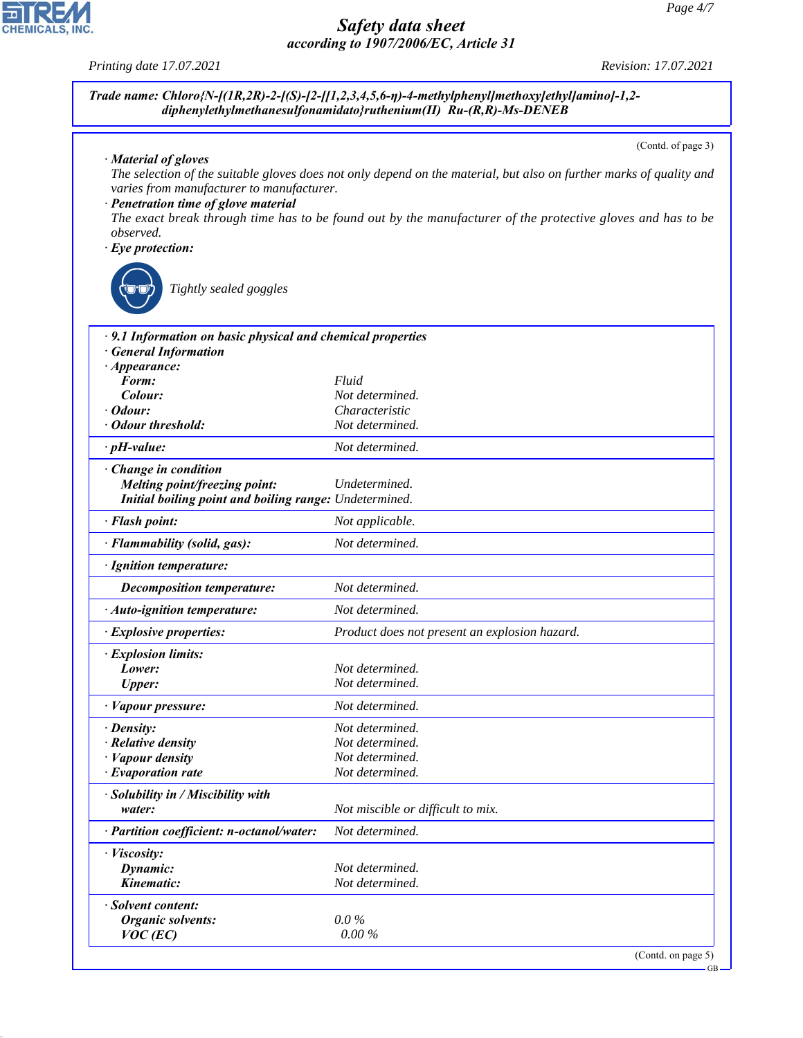*Printing date 17.07.2021 Revision: 17.07.2021*

|                                                                                                           | Trade name: Chloro{N-[(1R,2R)-2-[(S)-[2-[[1,2,3,4,5,6- $\eta$ )-4-methylphenyl]methoxy]ethyl]amino]-1,2-<br>diphenylethylmethanesulfonamidato}ruthenium(II) Ru-(R,R)-Ms-DENEB |
|-----------------------------------------------------------------------------------------------------------|-------------------------------------------------------------------------------------------------------------------------------------------------------------------------------|
|                                                                                                           | (Contd. of page 3)                                                                                                                                                            |
| · Material of gloves<br>varies from manufacturer to manufacturer.<br>· Penetration time of glove material | The selection of the suitable gloves does not only depend on the material, but also on further marks of quality and                                                           |
| observed.                                                                                                 | The exact break through time has to be found out by the manufacturer of the protective gloves and has to be                                                                   |
| $\cdot$ Eye protection:                                                                                   |                                                                                                                                                                               |
| Tightly sealed goggles                                                                                    |                                                                                                                                                                               |
| · 9.1 Information on basic physical and chemical properties<br>· General Information                      |                                                                                                                                                                               |
| $\cdot$ Appearance:                                                                                       |                                                                                                                                                                               |
| Form:<br>Colour:                                                                                          | Fluid<br>Not determined.                                                                                                                                                      |
| · Odour:                                                                                                  | Characteristic                                                                                                                                                                |
| · Odour threshold:                                                                                        | Not determined.                                                                                                                                                               |
| $\cdot$ pH-value:                                                                                         | Not determined.                                                                                                                                                               |
| Change in condition                                                                                       |                                                                                                                                                                               |
| Melting point/freezing point:<br>Initial boiling point and boiling range: Undetermined.                   | Undetermined.                                                                                                                                                                 |
| · Flash point:                                                                                            | Not applicable.                                                                                                                                                               |
| · Flammability (solid, gas):                                                                              | Not determined.                                                                                                                                                               |
| · Ignition temperature:                                                                                   |                                                                                                                                                                               |
| <b>Decomposition temperature:</b>                                                                         | Not determined.                                                                                                                                                               |
| · Auto-ignition temperature:                                                                              | Not determined.                                                                                                                                                               |
| · Explosive properties:                                                                                   | Product does not present an explosion hazard.                                                                                                                                 |
| · Explosion limits:<br>Lower:                                                                             | Not determined.                                                                                                                                                               |
| <b>Upper:</b>                                                                                             | Not determined.                                                                                                                                                               |
| · Vapour pressure:                                                                                        | Not determined.                                                                                                                                                               |
| · Density:                                                                                                | Not determined.                                                                                                                                                               |
| · Relative density                                                                                        | Not determined.                                                                                                                                                               |
| · Vapour density                                                                                          | Not determined.                                                                                                                                                               |
| · Evaporation rate                                                                                        | Not determined.                                                                                                                                                               |
| · Solubility in / Miscibility with<br>water:                                                              | Not miscible or difficult to mix.                                                                                                                                             |
| · Partition coefficient: n-octanol/water:                                                                 | Not determined.                                                                                                                                                               |
| · Viscosity:                                                                                              |                                                                                                                                                                               |
| Dynamic:                                                                                                  | Not determined.                                                                                                                                                               |
| Kinematic:                                                                                                | Not determined.                                                                                                                                                               |
| · Solvent content:<br><b>Organic solvents:</b>                                                            | $0.0\%$                                                                                                                                                                       |
| $VOC$ (EC)                                                                                                | $0.00\%$                                                                                                                                                                      |
|                                                                                                           |                                                                                                                                                                               |



44.1.1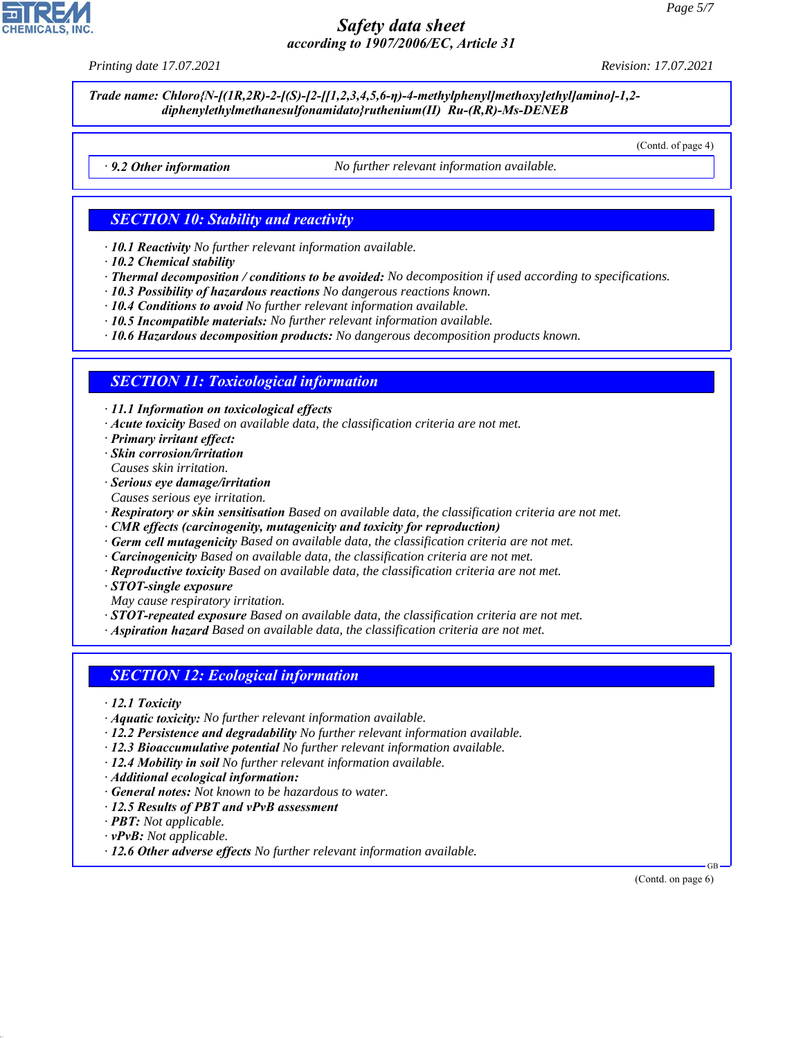*Printing date 17.07.2021 Revision: 17.07.2021*

*Trade name: Chloro{N-[(1R,2R)-2-[(S)-[2-[[1,2,3,4,5,6-η)-4-methylphenyl]methoxy]ethyl]amino]-1,2 diphenylethylmethanesulfonamidato}ruthenium(II) Ru-(R,R)-Ms-DENEB*

(Contd. of page 4)

*· 9.2 Other information No further relevant information available.*

#### *SECTION 10: Stability and reactivity*

*· 10.1 Reactivity No further relevant information available.*

- *· 10.2 Chemical stability*
- *· Thermal decomposition / conditions to be avoided: No decomposition if used according to specifications.*
- *· 10.3 Possibility of hazardous reactions No dangerous reactions known.*
- *· 10.4 Conditions to avoid No further relevant information available.*
- *· 10.5 Incompatible materials: No further relevant information available.*
- *· 10.6 Hazardous decomposition products: No dangerous decomposition products known.*

#### *SECTION 11: Toxicological information*

*· 11.1 Information on toxicological effects*

- *· Acute toxicity Based on available data, the classification criteria are not met.*
- *· Primary irritant effect:*
- *· Skin corrosion/irritation Causes skin irritation.*
- *· Serious eye damage/irritation*
- *Causes serious eye irritation.*
- *· Respiratory or skin sensitisation Based on available data, the classification criteria are not met.*
- *· CMR effects (carcinogenity, mutagenicity and toxicity for reproduction)*
- *· Germ cell mutagenicity Based on available data, the classification criteria are not met.*
- *· Carcinogenicity Based on available data, the classification criteria are not met.*
- *· Reproductive toxicity Based on available data, the classification criteria are not met.*
- *· STOT-single exposure*
- *May cause respiratory irritation.*

*· STOT-repeated exposure Based on available data, the classification criteria are not met.*

*· Aspiration hazard Based on available data, the classification criteria are not met.*

#### *SECTION 12: Ecological information*

- *· 12.1 Toxicity*
- *· Aquatic toxicity: No further relevant information available.*
- *· 12.2 Persistence and degradability No further relevant information available.*
- *· 12.3 Bioaccumulative potential No further relevant information available.*
- *· 12.4 Mobility in soil No further relevant information available.*
- *· Additional ecological information:*
- *· General notes: Not known to be hazardous to water.*
- *· 12.5 Results of PBT and vPvB assessment*
- *· PBT: Not applicable.*
- *· vPvB: Not applicable.*

44.1.1

*· 12.6 Other adverse effects No further relevant information available.*

(Contd. on page 6)

GB

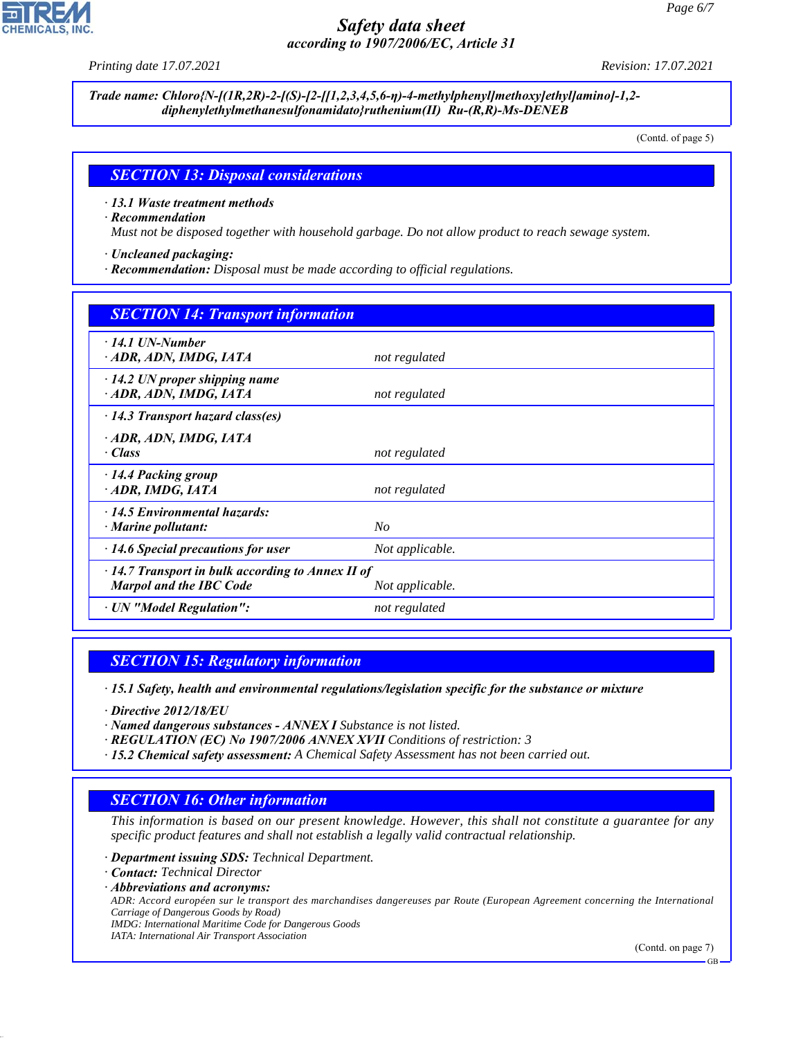*Printing date 17.07.2021 Revision: 17.07.2021*

*Trade name: Chloro{N-[(1R,2R)-2-[(S)-[2-[[1,2,3,4,5,6-η)-4-methylphenyl]methoxy]ethyl]amino]-1,2 diphenylethylmethanesulfonamidato}ruthenium(II) Ru-(R,R)-Ms-DENEB*

(Contd. of page 5)

#### *SECTION 13: Disposal considerations*

*· 13.1 Waste treatment methods*

*· Recommendation*

*Must not be disposed together with household garbage. Do not allow product to reach sewage system.*

*· Uncleaned packaging:*

*· Recommendation: Disposal must be made according to official regulations.*

| <b>SECTION 14: Transport information</b>                                                                     |                 |  |
|--------------------------------------------------------------------------------------------------------------|-----------------|--|
| $\cdot$ 14.1 UN-Number<br>· ADR, ADN, IMDG, IATA                                                             | not regulated   |  |
| $\cdot$ 14.2 UN proper shipping name<br>· ADR, ADN, IMDG, IATA                                               | not regulated   |  |
| $\cdot$ 14.3 Transport hazard class(es)                                                                      |                 |  |
| · ADR, ADN, IMDG, IATA<br>· Class                                                                            | not regulated   |  |
| $\cdot$ 14.4 Packing group<br>· ADR, IMDG, IATA                                                              | not regulated   |  |
| 14.5 Environmental hazards:<br>· Marine pollutant:                                                           | $N_{O}$         |  |
| $\cdot$ 14.6 Special precautions for user                                                                    | Not applicable. |  |
| $\cdot$ 14.7 Transport in bulk according to Annex II of<br><b>Marpol and the IBC Code</b><br>Not applicable. |                 |  |
| · UN "Model Regulation":                                                                                     | not regulated   |  |

#### *SECTION 15: Regulatory information*

*· 15.1 Safety, health and environmental regulations/legislation specific for the substance or mixture*

*· Directive 2012/18/EU*

*· Named dangerous substances - ANNEX I Substance is not listed.*

- *· REGULATION (EC) No 1907/2006 ANNEX XVII Conditions of restriction: 3*
- *· 15.2 Chemical safety assessment: A Chemical Safety Assessment has not been carried out.*

## *SECTION 16: Other information*

*This information is based on our present knowledge. However, this shall not constitute a guarantee for any specific product features and shall not establish a legally valid contractual relationship.*

*· Department issuing SDS: Technical Department.*

*· Contact: Technical Director*

44.1.1

*· Abbreviations and acronyms: ADR: Accord européen sur le transport des marchandises dangereuses par Route (European Agreement concerning the International Carriage of Dangerous Goods by Road) IMDG: International Maritime Code for Dangerous Goods IATA: International Air Transport Association*

(Contd. on page 7)

GB